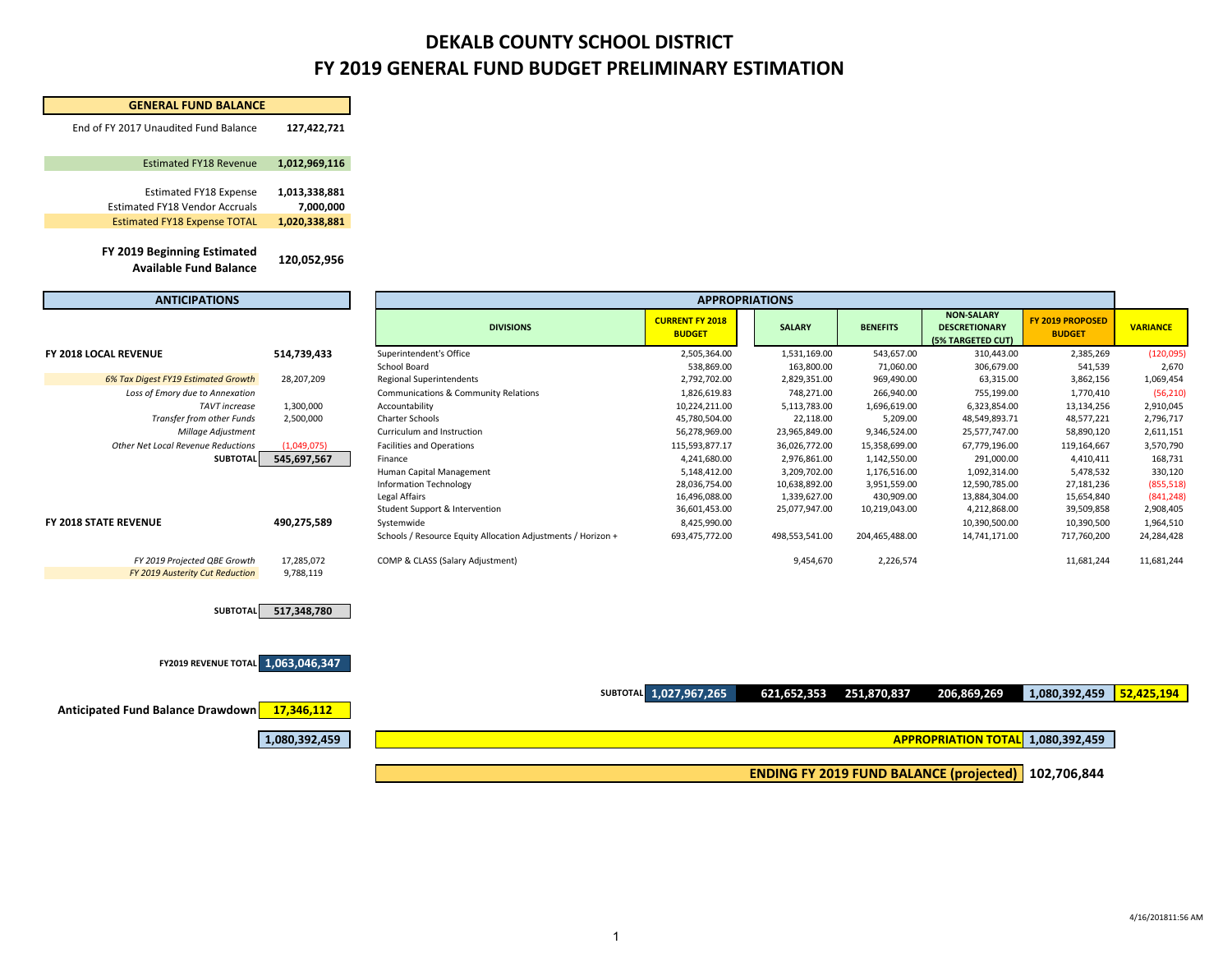## **DEKALB COUNTY SCHOOL DISTRICT FY 2019 GENERAL FUND BUDGET PRELIMINARY ESTIMATION**

| <b>GENERAL FUND BALANCE</b>                                     |                         |                                                                            |                                         |                |                 |                                                                |                                   |                         |  |
|-----------------------------------------------------------------|-------------------------|----------------------------------------------------------------------------|-----------------------------------------|----------------|-----------------|----------------------------------------------------------------|-----------------------------------|-------------------------|--|
| End of FY 2017 Unaudited Fund Balance                           | 127,422,721             |                                                                            |                                         |                |                 |                                                                |                                   |                         |  |
| <b>Estimated FY18 Revenue</b>                                   | 1,012,969,116           |                                                                            |                                         |                |                 |                                                                |                                   |                         |  |
| <b>Estimated FY18 Expense</b>                                   | 1,013,338,881           |                                                                            |                                         |                |                 |                                                                |                                   |                         |  |
| <b>Estimated FY18 Vendor Accruals</b>                           | 7,000,000               |                                                                            |                                         |                |                 |                                                                |                                   |                         |  |
| <b>Estimated FY18 Expense TOTAL</b>                             | 1,020,338,881           |                                                                            |                                         |                |                 |                                                                |                                   |                         |  |
| FY 2019 Beginning Estimated                                     |                         |                                                                            |                                         |                |                 |                                                                |                                   |                         |  |
| <b>Available Fund Balance</b>                                   | 120,052,956             |                                                                            |                                         |                |                 |                                                                |                                   |                         |  |
| <b>ANTICIPATIONS</b>                                            |                         | <b>APPROPRIATIONS</b>                                                      |                                         |                |                 |                                                                |                                   |                         |  |
|                                                                 |                         | <b>DIVISIONS</b>                                                           | <b>CURRENT FY 2018</b><br><b>BUDGET</b> | <b>SALARY</b>  | <b>BENEFITS</b> | <b>NON-SALARY</b><br><b>DESCRETIONARY</b><br>(5% TARGETED CUT) | FY 2019 PROPOSED<br><b>BUDGET</b> | <b>VARIANCE</b>         |  |
| FY 2018 LOCAL REVENUE                                           | 514,739,433             | Superintendent's Office                                                    | 2,505,364.00                            | 1,531,169.00   | 543,657.00      | 310,443.00                                                     | 2,385,269                         | (120,095)               |  |
|                                                                 |                         | School Board                                                               | 538,869.00                              | 163,800.00     | 71,060.00       | 306,679.00                                                     | 541,539                           | 2,670                   |  |
| 6% Tax Digest FY19 Estimated Growth                             | 28,207,209              | <b>Regional Superintendents</b>                                            | 2,792,702.00                            | 2,829,351.00   | 969,490.00      | 63,315.00                                                      | 3,862,156                         | 1,069,454               |  |
| Loss of Emory due to Annexation                                 |                         | Communications & Community Relations                                       | 1,826,619.83                            | 748,271.00     | 266,940.00      | 755,199.00                                                     | 1,770,410                         | (56, 210)               |  |
| <b>TAVT</b> increase                                            | 1,300,000               | Accountability                                                             | 10,224,211.00                           | 5,113,783.00   | 1,696,619.00    | 6,323,854.00                                                   | 13,134,256                        | 2,910,045               |  |
| Transfer from other Funds                                       | 2,500,000               | Charter Schools                                                            | 45,780,504.00                           | 22,118.00      | 5,209.00        | 48,549,893.71                                                  | 48,577,221                        | 2,796,717               |  |
| Millage Adjustment                                              |                         | Curriculum and Instruction                                                 | 56,278,969.00                           | 23,965,849.00  | 9,346,524.00    | 25,577,747.00                                                  | 58,890,120                        | 2,611,151               |  |
| Other Net Local Revenue Reductions                              | (1,049,075)             | <b>Facilities and Operations</b>                                           | 115,593,877.17                          | 36,026,772.00  | 15,358,699.00   | 67,779,196.00                                                  | 119,164,667                       | 3,570,790               |  |
| <b>SUBTOTAL</b>                                                 | 545,697,567             | Finance                                                                    | 4,241,680.00                            | 2,976,861.00   | 1,142,550.00    | 291,000.00                                                     | 4,410,411                         | 168,731                 |  |
|                                                                 |                         | Human Capital Management                                                   | 5,148,412.00                            | 3,209,702.00   | 1,176,516.00    | 1,092,314.00                                                   | 5,478,532                         | 330,120                 |  |
|                                                                 |                         | <b>Information Technology</b>                                              | 28,036,754.00                           | 10,638,892.00  | 3,951,559.00    | 12,590,785.00                                                  | 27,181,236                        | (855, 518)              |  |
|                                                                 |                         | Legal Affairs                                                              | 16,496,088.00                           | 1,339,627.00   | 430,909.00      | 13,884,304.00                                                  | 15,654,840                        | (841, 248)              |  |
|                                                                 |                         | Student Support & Intervention                                             | 36,601,453.00                           | 25,077,947.00  | 10,219,043.00   | 4,212,868.00                                                   | 39,509,858                        | 2,908,405               |  |
| FY 2018 STATE REVENUE                                           | 490,275,589             | Systemwide<br>Schools / Resource Equity Allocation Adjustments / Horizon + | 8,425,990.00<br>693,475,772.00          | 498,553,541.00 | 204,465,488.00  | 10,390,500.00<br>14,741,171.00                                 | 10,390,500<br>717,760,200         | 1,964,510<br>24,284,428 |  |
|                                                                 |                         |                                                                            |                                         |                |                 |                                                                |                                   |                         |  |
| FY 2019 Projected QBE Growth<br>FY 2019 Austerity Cut Reduction | 17,285,072<br>9,788,119 | COMP & CLASS (Salary Adjustment)                                           |                                         | 9,454,670      | 2,226,574       |                                                                | 11,681,244                        | 11,681,244              |  |
| <b>SUBTOTAI</b>                                                 | 517,348,780             |                                                                            |                                         |                |                 |                                                                |                                   |                         |  |
| <b>FY2019 REVENUE TOTAL 1,063,046,347</b>                       |                         |                                                                            |                                         |                |                 |                                                                |                                   |                         |  |
|                                                                 |                         |                                                                            | SUBTOTAL 1,027,967,265                  | 621,652,353    | 251,870,837     | 206,869,269                                                    | 1,080,392,459                     | 52,425,194              |  |
| <b>Anticipated Fund Balance Drawdown</b>                        | 17,346,112              |                                                                            |                                         |                |                 |                                                                |                                   |                         |  |
|                                                                 | 1,080,392,459           |                                                                            |                                         |                |                 | APPROPRIATION TOTAL 1,080,392,459                              |                                   |                         |  |
|                                                                 |                         |                                                                            |                                         |                |                 | <b>ENDING FY 2019 FUND BALANCE (projected)   102,706,844</b>   |                                   |                         |  |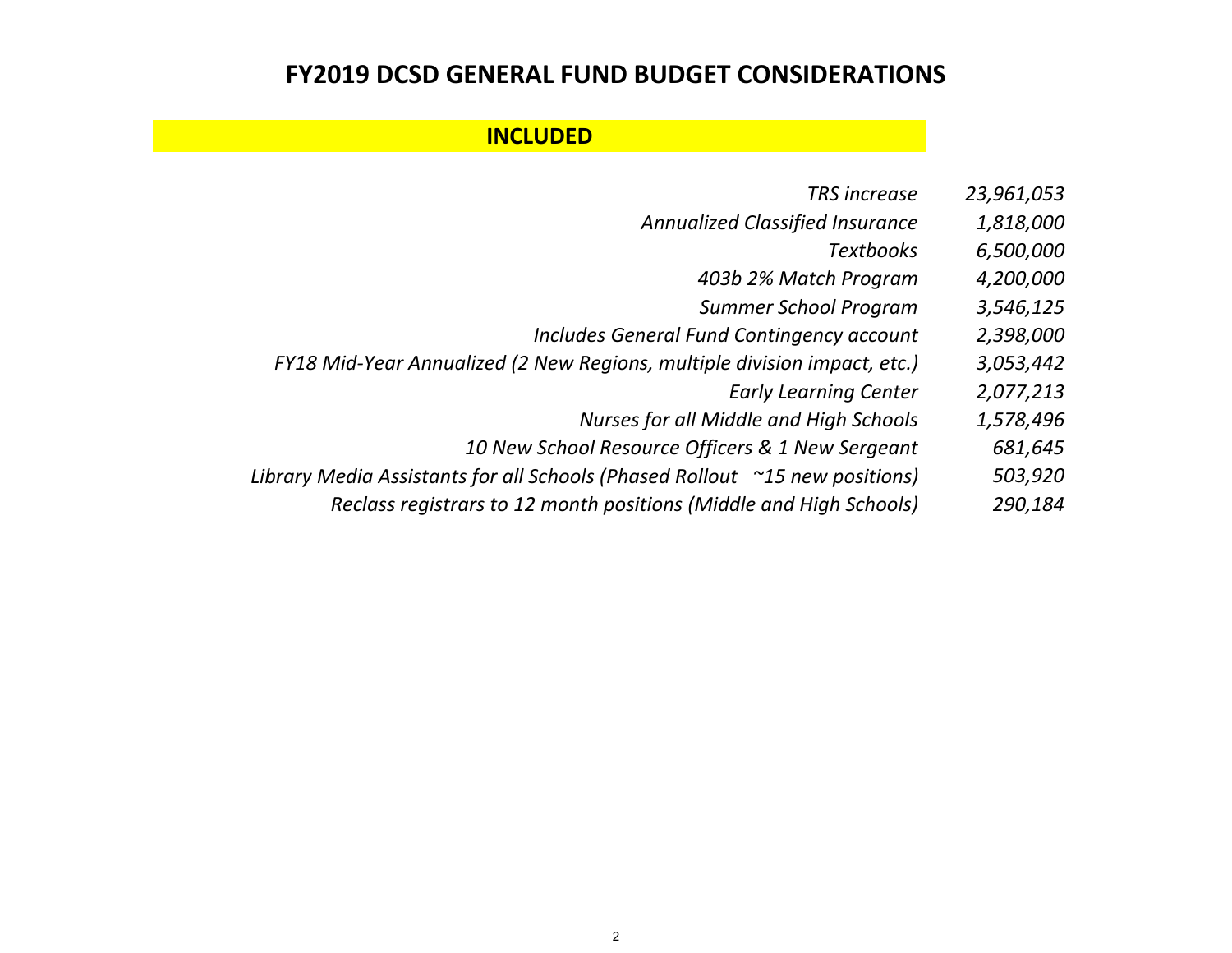## **FY2019 DCSD GENERAL FUND BUDGET CONSIDERATIONS**

## **INCLUDED**

- *TRSincrease 23,961,053*
- *Annualized Classified Insurance 1,818,000*
	- *Textbooks 6,500,000*
	- *403b 2% Match Program 4,200,000*
	- *Summer School Program 3,546,125*
- *Includes General Fund Contingency account 2,398,000*
- *FY18 Mid‐Year Annualized (2 New Regions, multiple division impact, etc.) 3,053,442*
	- *Early Learning Center 2,077,213*
	- *Nurses for all Middle and High Schools 1,578,496*
	- *10 New School Resource Officers & 1 New Sergeant 681,645*
- *Library Media Assistants for all Schools (Phased Rollout ~15 new positions) 503,920*
	- *Reclass registrars to 12 month positions (Middle and High Schools) 290,184*